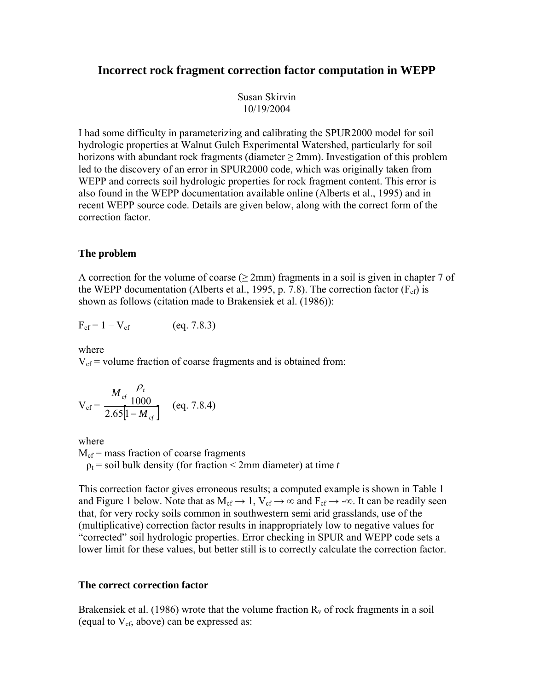# **Incorrect rock fragment correction factor computation in WEPP**

Susan Skirvin 10/19/2004

I had some difficulty in parameterizing and calibrating the SPUR2000 model for soil hydrologic properties at Walnut Gulch Experimental Watershed, particularly for soil horizons with abundant rock fragments (diameter  $\geq$  2mm). Investigation of this problem led to the discovery of an error in SPUR2000 code, which was originally taken from WEPP and corrects soil hydrologic properties for rock fragment content. This error is also found in the WEPP documentation available online (Alberts et al., 1995) and in recent WEPP source code. Details are given below, along with the correct form of the correction factor.

# **The problem**

A correction for the volume of coarse ( $\geq$  2mm) fragments in a soil is given in chapter 7 of the WEPP documentation (Alberts et al., 1995, p. 7.8). The correction factor  $(F_{cf})$  is shown as follows (citation made to Brakensiek et al. (1986)):

$$
F_{cf} = 1 - V_{cf} \qquad (eq. 7.8.3)
$$

where

 $V_{\text{cf}}$  = volume fraction of coarse fragments and is obtained from:

$$
V_{cf} = \frac{M_{cf} \frac{\rho_t}{1000}}{2.65[1 - M_{cf}]} \quad (eq. 7.8.4)
$$

where

 $M_{\rm cf}$  = mass fraction of coarse fragments

 $p_t$  = soil bulk density (for fraction < 2mm diameter) at time *t* 

This correction factor gives erroneous results; a computed example is shown in Table 1 and Figure 1 below. Note that as  $M_{cf} \rightarrow 1$ ,  $V_{cf} \rightarrow \infty$  and  $F_{cf} \rightarrow -\infty$ . It can be readily seen that, for very rocky soils common in southwestern semi arid grasslands, use of the (multiplicative) correction factor results in inappropriately low to negative values for "corrected" soil hydrologic properties. Error checking in SPUR and WEPP code sets a lower limit for these values, but better still is to correctly calculate the correction factor.

# **The correct correction factor**

Brakensiek et al. (1986) wrote that the volume fraction  $R<sub>v</sub>$  of rock fragments in a soil (equal to  $V_{cf}$ , above) can be expressed as: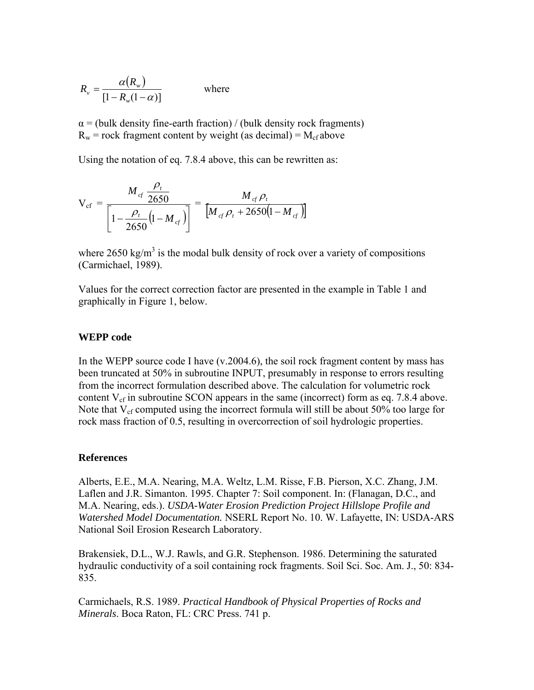$$
R_{\nu} = \frac{\alpha(R_{\nu})}{[1 - R_{\nu}(1 - \alpha)]}
$$
 where

 $\alpha$  = (bulk density fine-earth fraction) / (bulk density rock fragments)  $R_w$  = rock fragment content by weight (as decimal) =  $M_{cf}$  above

Using the notation of eq. 7.8.4 above, this can be rewritten as:

$$
V_{cf} = \frac{M_{cf} \frac{\rho_t}{2650}}{\left[1 - \frac{\rho_t}{2650} (1 - M_{cf})\right]} = \frac{M_{cf} \rho_t}{\left[M_{cf} \rho_t + 2650 (1 - M_{cf})\right]}
$$

where  $2650 \text{ kg/m}^3$  is the modal bulk density of rock over a variety of compositions (Carmichael, 1989).

Values for the correct correction factor are presented in the example in Table 1 and graphically in Figure 1, below.

### **WEPP code**

In the WEPP source code I have  $(v.2004.6)$ , the soil rock fragment content by mass has been truncated at 50% in subroutine INPUT, presumably in response to errors resulting from the incorrect formulation described above. The calculation for volumetric rock content  $V_{cf}$  in subroutine SCON appears in the same (incorrect) form as eq. 7.8.4 above. Note that  $V_{cf}$  computed using the incorrect formula will still be about 50% too large for rock mass fraction of 0.5, resulting in overcorrection of soil hydrologic properties.

### **References**

Alberts, E.E., M.A. Nearing, M.A. Weltz, L.M. Risse, F.B. Pierson, X.C. Zhang, J.M. Laflen and J.R. Simanton. 1995. Chapter 7: Soil component. In: (Flanagan, D.C., and M.A. Nearing, eds.). *USDA-Water Erosion Prediction Project Hillslope Profile and Watershed Model Documentation.* NSERL Report No. 10. W. Lafayette, IN: USDA-ARS National Soil Erosion Research Laboratory.

Brakensiek, D.L., W.J. Rawls, and G.R. Stephenson. 1986. Determining the saturated hydraulic conductivity of a soil containing rock fragments. Soil Sci. Soc. Am. J., 50: 834- 835.

Carmichaels, R.S. 1989. *Practical Handbook of Physical Properties of Rocks and Minerals*. Boca Raton, FL: CRC Press. 741 p.